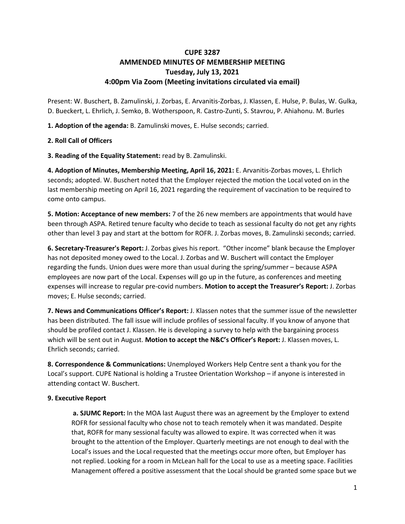## **CUPE 3287 AMMENDED MINUTES OF MEMBERSHIP MEETING Tuesday, July 13, 2021 4:00pm Via Zoom (Meeting invitations circulated via email)**

Present: W. Buschert, B. Zamulinski, J. Zorbas, E. Arvanitis-Zorbas, J. Klassen, E. Hulse, P. Bulas, W. Gulka, D. Bueckert, L. Ehrlich, J. Semko, B. Wotherspoon, R. Castro-Zunti, S. Stavrou, P. Ahiahonu. M. Burles

**1. Adoption of the agenda:** B. Zamulinski moves, E. Hulse seconds; carried.

## **2. Roll Call of Officers**

**3. Reading of the Equality Statement:** read by B. Zamulinski.

**4. Adoption of Minutes, Membership Meeting, April 16, 2021:** E. Arvanitis-Zorbas moves, L. Ehrlich seconds; adopted. W. Buschert noted that the Employer rejected the motion the Local voted on in the last membership meeting on April 16, 2021 regarding the requirement of vaccination to be required to come onto campus.

**5. Motion: Acceptance of new members:** 7 of the 26 new members are appointments that would have been through ASPA. Retired tenure faculty who decide to teach as sessional faculty do not get any rights other than level 3 pay and start at the bottom for ROFR. J. Zorbas moves, B. Zamulinski seconds; carried.

**6. Secretary-Treasurer's Report:** J. Zorbas gives his report. "Other income" blank because the Employer has not deposited money owed to the Local. J. Zorbas and W. Buschert will contact the Employer regarding the funds. Union dues were more than usual during the spring/summer – because ASPA employees are now part of the Local. Expenses will go up in the future, as conferences and meeting expenses will increase to regular pre-covid numbers. **Motion to accept the Treasurer's Report:** J. Zorbas moves; E. Hulse seconds; carried.

**7. News and Communications Officer's Report:** J. Klassen notes that the summer issue of the newsletter has been distributed. The fall issue will include profiles of sessional faculty. If you know of anyone that should be profiled contact J. Klassen. He is developing a survey to help with the bargaining process which will be sent out in August. **Motion to accept the N&C's Officer's Report:** J. Klassen moves, L. Ehrlich seconds; carried.

**8. Correspondence & Communications:** Unemployed Workers Help Centre sent a thank you for the Local's support. CUPE National is holding a Trustee Orientation Workshop – if anyone is interested in attending contact W. Buschert.

## **9. Executive Report**

**a. SJUMC Report:** In the MOA last August there was an agreement by the Employer to extend ROFR for sessional faculty who chose not to teach remotely when it was mandated. Despite that, ROFR for many sessional faculty was allowed to expire. It was corrected when it was brought to the attention of the Employer. Quarterly meetings are not enough to deal with the Local's issues and the Local requested that the meetings occur more often, but Employer has not replied. Looking for a room in McLean hall for the Local to use as a meeting space. Facilities Management offered a positive assessment that the Local should be granted some space but we